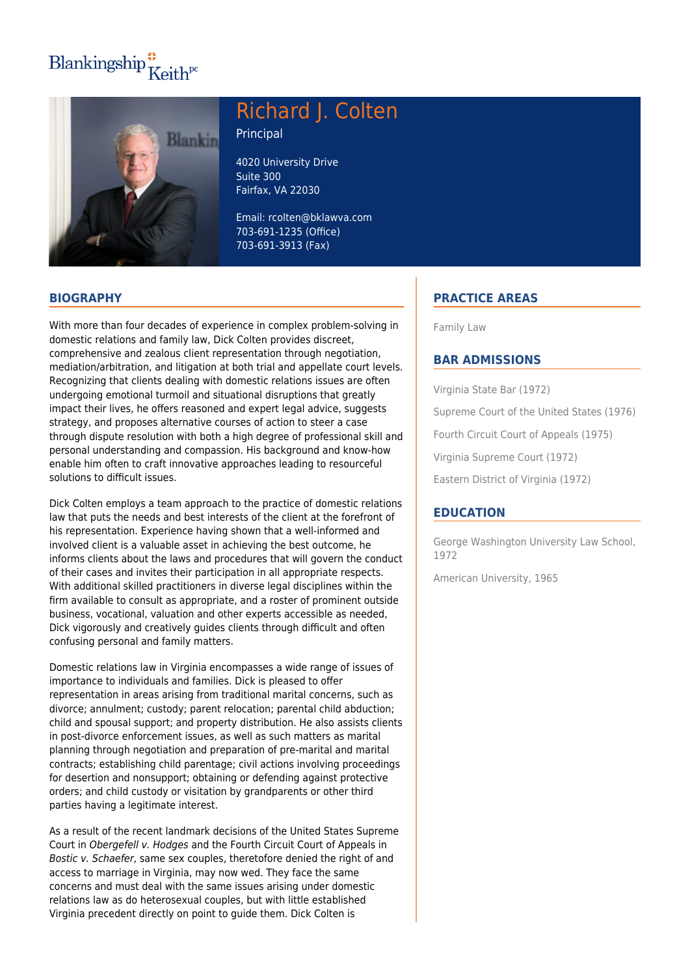## Blankingship $\frac{4}{\pi}$ Keith<sup>pc</sup>



# Richard J. Colten

Principal

4020 University Drive Suite 300 Fairfax, VA 22030

Email: rcolten@bklawva.com 703-691-1235 (Office) 703-691-3913 (Fax)

## **BIOGRAPHY**

With more than four decades of experience in complex problem-solving in domestic relations and family law, Dick Colten provides discreet, comprehensive and zealous client representation through negotiation, mediation/arbitration, and litigation at both trial and appellate court levels. Recognizing that clients dealing with domestic relations issues are often undergoing emotional turmoil and situational disruptions that greatly impact their lives, he offers reasoned and expert legal advice, suggests strategy, and proposes alternative courses of action to steer a case through dispute resolution with both a high degree of professional skill and personal understanding and compassion. His background and know-how enable him often to craft innovative approaches leading to resourceful solutions to difficult issues.

Dick Colten employs a team approach to the practice of domestic relations law that puts the needs and best interests of the client at the forefront of his representation. Experience having shown that a well-informed and involved client is a valuable asset in achieving the best outcome, he informs clients about the laws and procedures that will govern the conduct of their cases and invites their participation in all appropriate respects. With additional skilled practitioners in diverse legal disciplines within the firm available to consult as appropriate, and a roster of prominent outside business, vocational, valuation and other experts accessible as needed, Dick vigorously and creatively guides clients through difficult and often confusing personal and family matters.

Domestic relations law in Virginia encompasses a wide range of issues of importance to individuals and families. Dick is pleased to offer representation in areas arising from traditional marital concerns, such as divorce; annulment; custody; parent relocation; parental child abduction; child and spousal support; and property distribution. He also assists clients in post-divorce enforcement issues, as well as such matters as marital planning through negotiation and preparation of pre-marital and marital contracts; establishing child parentage; civil actions involving proceedings for desertion and nonsupport; obtaining or defending against protective orders; and child custody or visitation by grandparents or other third parties having a legitimate interest.

As a result of the recent landmark decisions of the United States Supreme Court in Obergefell v. Hodges and the Fourth Circuit Court of Appeals in Bostic v. Schaefer, same sex couples, theretofore denied the right of and access to marriage in Virginia, may now wed. They face the same concerns and must deal with the same issues arising under domestic relations law as do heterosexual couples, but with little established Virginia precedent directly on point to guide them. Dick Colten is

## **PRACTICE AREAS**

Family Law

### **BAR ADMISSIONS**

Virginia State Bar (1972) Supreme Court of the United States (1976) Fourth Circuit Court of Appeals (1975) Virginia Supreme Court (1972) Eastern District of Virginia (1972)

#### **EDUCATION**

George Washington University Law School, 1972

American University, 1965